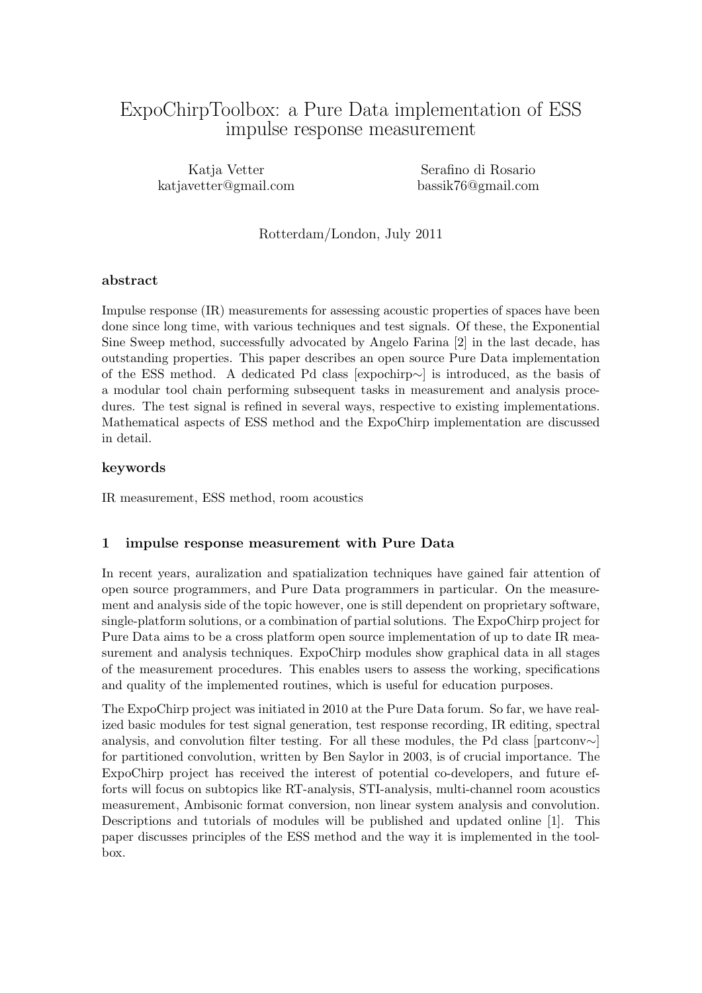# ExpoChirpToolbox: a Pure Data implementation of ESS impulse response measurement

Katia Vetter katjavetter@gmail.com

Serafino di Rosario bassik76@gmail.com

Rotterdam/London, July 2011

#### abstract

Impulse response (IR) measurements for assessing acoustic properties of spaces have been done since long time, with various techniques and test signals. Of these, the Exponential Sine Sweep method, successfully advocated by Angelo Farina [2] in the last decade, has outstanding properties. This paper describes an open source Pure Data implementation of the ESS method. A dedicated Pd class [expochirp∼] is introduced, as the basis of a modular tool chain performing subsequent tasks in measurement and analysis procedures. The test signal is refined in several ways, respective to existing implementations. Mathematical aspects of ESS method and the ExpoChirp implementation are discussed in detail.

#### keywords

IR measurement, ESS method, room acoustics

#### 1 impulse response measurement with Pure Data

In recent years, auralization and spatialization techniques have gained fair attention of open source programmers, and Pure Data programmers in particular. On the measurement and analysis side of the topic however, one is still dependent on proprietary software, single-platform solutions, or a combination of partial solutions. The ExpoChirp project for Pure Data aims to be a cross platform open source implementation of up to date IR measurement and analysis techniques. ExpoChirp modules show graphical data in all stages of the measurement procedures. This enables users to assess the working, specifications and quality of the implemented routines, which is useful for education purposes.

The ExpoChirp project was initiated in 2010 at the Pure Data forum. So far, we have realized basic modules for test signal generation, test response recording, IR editing, spectral analysis, and convolution filter testing. For all these modules, the Pd class [partconv∼] for partitioned convolution, written by Ben Saylor in 2003, is of crucial importance. The ExpoChirp project has received the interest of potential co-developers, and future efforts will focus on subtopics like RT-analysis, STI-analysis, multi-channel room acoustics measurement, Ambisonic format conversion, non linear system analysis and convolution. Descriptions and tutorials of modules will be published and updated online [1]. This paper discusses principles of the ESS method and the way it is implemented in the toolbox.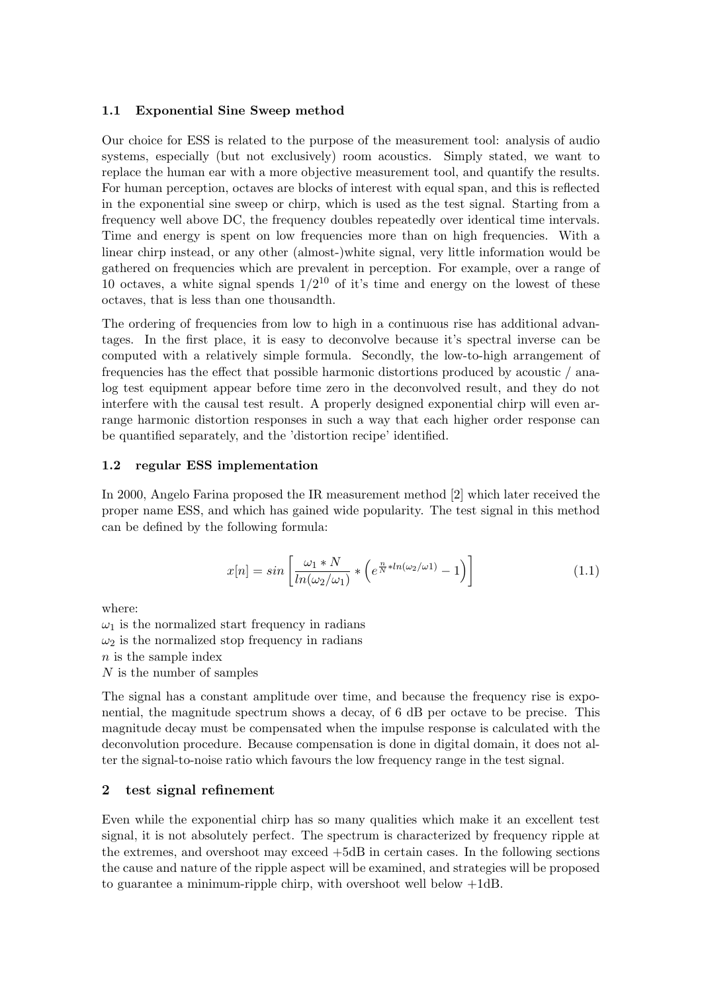### 1.1 Exponential Sine Sweep method

Our choice for ESS is related to the purpose of the measurement tool: analysis of audio systems, especially (but not exclusively) room acoustics. Simply stated, we want to replace the human ear with a more objective measurement tool, and quantify the results. For human perception, octaves are blocks of interest with equal span, and this is reflected in the exponential sine sweep or chirp, which is used as the test signal. Starting from a frequency well above DC, the frequency doubles repeatedly over identical time intervals. Time and energy is spent on low frequencies more than on high frequencies. With a linear chirp instead, or any other (almost-)white signal, very little information would be gathered on frequencies which are prevalent in perception. For example, over a range of 10 octaves, a white signal spends  $1/2^{10}$  of it's time and energy on the lowest of these octaves, that is less than one thousandth.

The ordering of frequencies from low to high in a continuous rise has additional advantages. In the first place, it is easy to deconvolve because it's spectral inverse can be computed with a relatively simple formula. Secondly, the low-to-high arrangement of frequencies has the effect that possible harmonic distortions produced by acoustic / analog test equipment appear before time zero in the deconvolved result, and they do not interfere with the causal test result. A properly designed exponential chirp will even arrange harmonic distortion responses in such a way that each higher order response can be quantified separately, and the 'distortion recipe' identified.

#### 1.2 regular ESS implementation

In 2000, Angelo Farina proposed the IR measurement method [2] which later received the proper name ESS, and which has gained wide popularity. The test signal in this method can be defined by the following formula:

$$
x[n] = \sin\left[\frac{\omega_1 * N}{\ln(\omega_2/\omega_1)} * \left(e^{\frac{n}{N} * \ln(\omega_2/\omega_1)} - 1\right)\right]
$$
(1.1)

where:

 $\omega_1$  is the normalized start frequency in radians  $\omega_2$  is the normalized stop frequency in radians n is the sample index N is the number of samples

The signal has a constant amplitude over time, and because the frequency rise is exponential, the magnitude spectrum shows a decay, of 6 dB per octave to be precise. This magnitude decay must be compensated when the impulse response is calculated with the deconvolution procedure. Because compensation is done in digital domain, it does not alter the signal-to-noise ratio which favours the low frequency range in the test signal.

#### 2 test signal refinement

Even while the exponential chirp has so many qualities which make it an excellent test signal, it is not absolutely perfect. The spectrum is characterized by frequency ripple at the extremes, and overshoot may exceed +5dB in certain cases. In the following sections the cause and nature of the ripple aspect will be examined, and strategies will be proposed to guarantee a minimum-ripple chirp, with overshoot well below +1dB.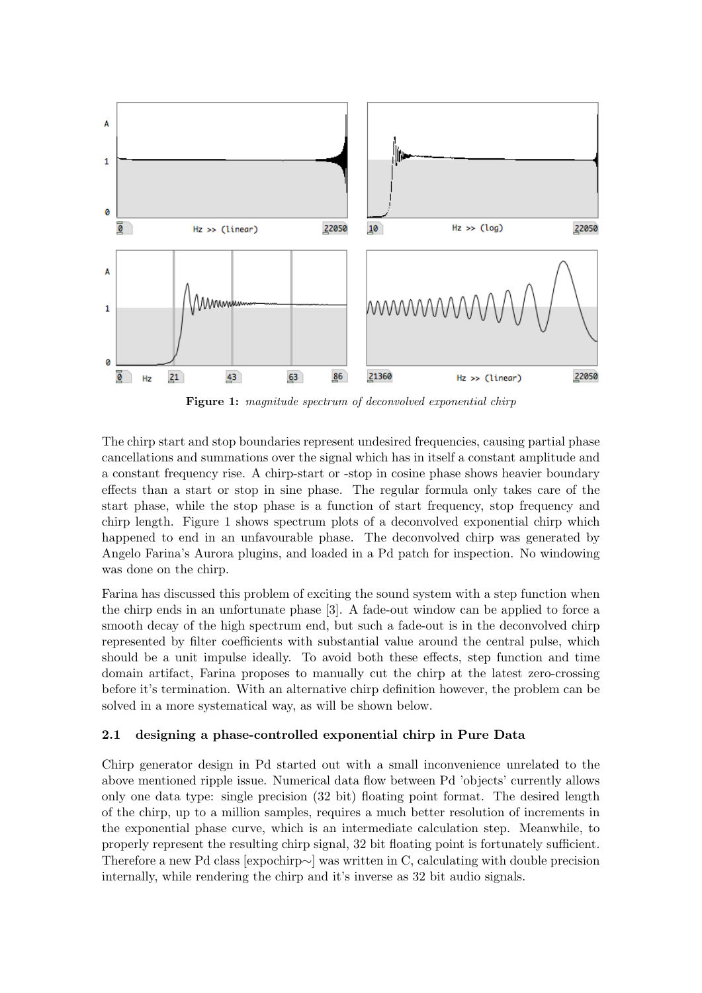

Figure 1: magnitude spectrum of deconvolved exponential chirp

The chirp start and stop boundaries represent undesired frequencies, causing partial phase cancellations and summations over the signal which has in itself a constant amplitude and a constant frequency rise. A chirp-start or -stop in cosine phase shows heavier boundary effects than a start or stop in sine phase. The regular formula only takes care of the start phase, while the stop phase is a function of start frequency, stop frequency and chirp length. Figure 1 shows spectrum plots of a deconvolved exponential chirp which happened to end in an unfavourable phase. The deconvolved chirp was generated by Angelo Farina's Aurora plugins, and loaded in a Pd patch for inspection. No windowing was done on the chirp.

Farina has discussed this problem of exciting the sound system with a step function when the chirp ends in an unfortunate phase [3]. A fade-out window can be applied to force a smooth decay of the high spectrum end, but such a fade-out is in the deconvolved chirp represented by filter coefficients with substantial value around the central pulse, which should be a unit impulse ideally. To avoid both these effects, step function and time domain artifact, Farina proposes to manually cut the chirp at the latest zero-crossing before it's termination. With an alternative chirp definition however, the problem can be solved in a more systematical way, as will be shown below.

## 2.1 designing a phase-controlled exponential chirp in Pure Data

Chirp generator design in Pd started out with a small inconvenience unrelated to the above mentioned ripple issue. Numerical data flow between Pd 'objects' currently allows only one data type: single precision (32 bit) floating point format. The desired length of the chirp, up to a million samples, requires a much better resolution of increments in the exponential phase curve, which is an intermediate calculation step. Meanwhile, to properly represent the resulting chirp signal, 32 bit floating point is fortunately sufficient. Therefore a new Pd class [expochirp∼] was written in C, calculating with double precision internally, while rendering the chirp and it's inverse as 32 bit audio signals.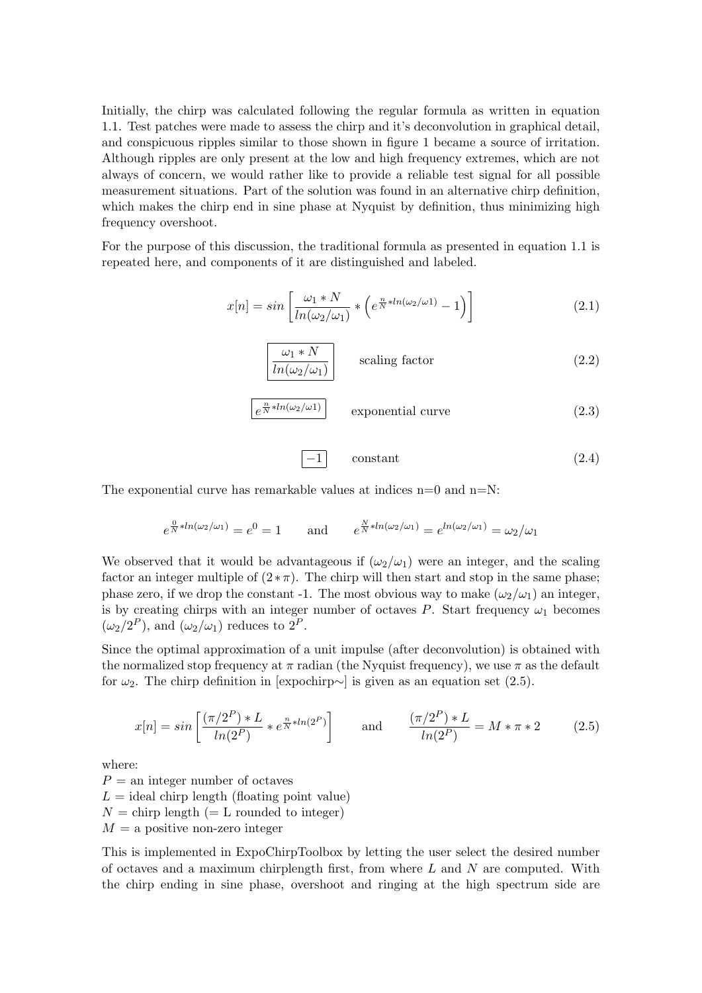Initially, the chirp was calculated following the regular formula as written in equation 1.1. Test patches were made to assess the chirp and it's deconvolution in graphical detail, and conspicuous ripples similar to those shown in figure 1 became a source of irritation. Although ripples are only present at the low and high frequency extremes, which are not always of concern, we would rather like to provide a reliable test signal for all possible measurement situations. Part of the solution was found in an alternative chirp definition, which makes the chirp end in sine phase at Nyquist by definition, thus minimizing high frequency overshoot.

For the purpose of this discussion, the traditional formula as presented in equation 1.1 is repeated here, and components of it are distinguished and labeled.

$$
x[n] = \sin\left[\frac{\omega_1 * N}{\ln(\omega_2/\omega_1)} * \left(e^{\frac{n}{N} * \ln(\omega_2/\omega_1)} - 1\right)\right]
$$
 (2.1)



$$
\boxed{e^{\frac{n}{N}*ln(\omega_2/\omega_1)}} \qquad \text{exponential curve} \tag{2.3}
$$

$$
\boxed{-1} \qquad \text{constant} \tag{2.4}
$$

The exponential curve has remarkable values at indices  $n=0$  and  $n=N$ :

$$
e^{\frac{0}{N}*ln(\omega_2/\omega_1)} = e^0 = 1 \quad \text{and} \quad e^{\frac{N}{N}*ln(\omega_2/\omega_1)} = e^{ln(\omega_2/\omega_1)} = \omega_2/\omega_1
$$

We observed that it would be advantageous if  $(\omega_2/\omega_1)$  were an integer, and the scaling factor an integer multiple of  $(2*\pi)$ . The chirp will then start and stop in the same phase; phase zero, if we drop the constant -1. The most obvious way to make  $(\omega_2/\omega_1)$  an integer, is by creating chirps with an integer number of octaves P. Start frequency  $\omega_1$  becomes  $(\omega_2/2^P)$ , and  $(\omega_2/\omega_1)$  reduces to  $2^P$ .

Since the optimal approximation of a unit impulse (after deconvolution) is obtained with the normalized stop frequency at  $\pi$  radian (the Nyquist frequency), we use  $\pi$  as the default for  $\omega_2$ . The chirp definition in [expochirp∼] is given as an equation set (2.5).

$$
x[n] = \sin\left[\frac{(\pi/2^P) * L}{\ln(2^P)} * e^{\frac{n}{N} * \ln(2^P)}\right] \quad \text{and} \quad \frac{(\pi/2^P) * L}{\ln(2^P)} = M * \pi * 2 \quad (2.5)
$$

where:

 $P =$ an integer number of octaves  $L =$  ideal chirp length (floating point value)  $N =$  chirp length (= L rounded to integer)  $M = a$  positive non-zero integer

This is implemented in ExpoChirpToolbox by letting the user select the desired number of octaves and a maximum chirplength first, from where  $L$  and  $N$  are computed. With the chirp ending in sine phase, overshoot and ringing at the high spectrum side are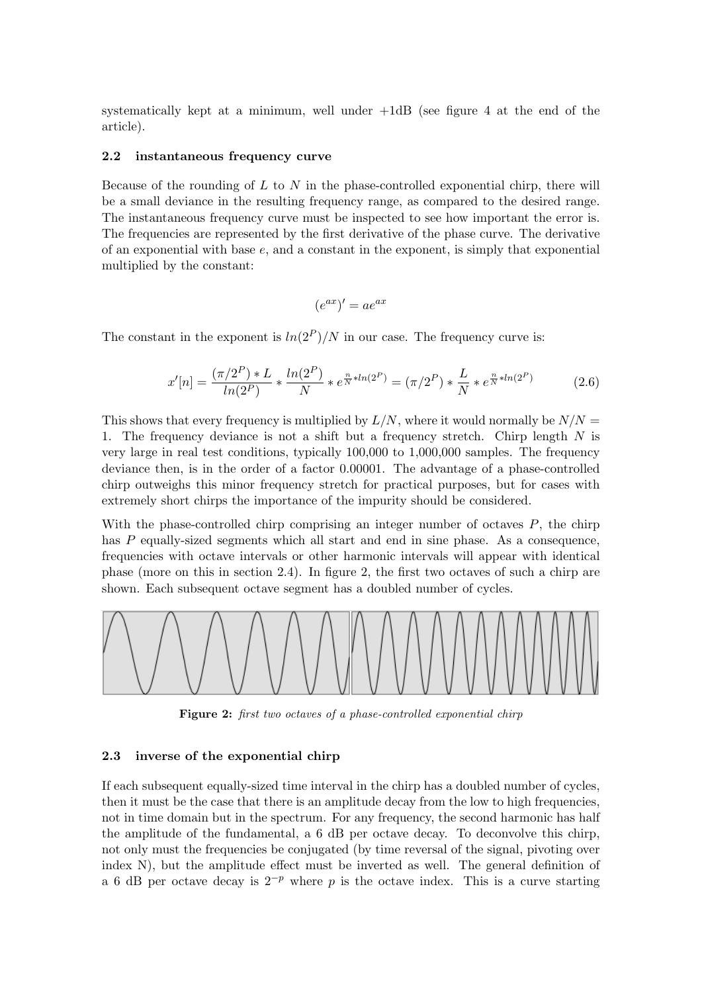systematically kept at a minimum, well under  $+1$ dB (see figure 4 at the end of the article).

### 2.2 instantaneous frequency curve

Because of the rounding of  $L$  to  $N$  in the phase-controlled exponential chirp, there will be a small deviance in the resulting frequency range, as compared to the desired range. The instantaneous frequency curve must be inspected to see how important the error is. The frequencies are represented by the first derivative of the phase curve. The derivative of an exponential with base  $e$ , and a constant in the exponent, is simply that exponential multiplied by the constant:

$$
(e^{ax})' = ae^{ax}
$$

The constant in the exponent is  $ln(2^P)/N$  in our case. The frequency curve is:

$$
x'[n] = \frac{(\pi/2^P) * L}{\ln(2^P)} * \frac{\ln(2^P)}{N} * e^{\frac{n}{N} * \ln(2^P)} = (\pi/2^P) * \frac{L}{N} * e^{\frac{n}{N} * \ln(2^P)} \tag{2.6}
$$

This shows that every frequency is multiplied by  $L/N$ , where it would normally be  $N/N =$ 1. The frequency deviance is not a shift but a frequency stretch. Chirp length N is very large in real test conditions, typically 100,000 to 1,000,000 samples. The frequency deviance then, is in the order of a factor 0.00001. The advantage of a phase-controlled chirp outweighs this minor frequency stretch for practical purposes, but for cases with extremely short chirps the importance of the impurity should be considered.

With the phase-controlled chirp comprising an integer number of octaves  $P$ , the chirp has P equally-sized segments which all start and end in sine phase. As a consequence, frequencies with octave intervals or other harmonic intervals will appear with identical phase (more on this in section 2.4). In figure 2, the first two octaves of such a chirp are shown. Each subsequent octave segment has a doubled number of cycles.



Figure 2: first two octaves of a phase-controlled exponential chirp

#### 2.3 inverse of the exponential chirp

If each subsequent equally-sized time interval in the chirp has a doubled number of cycles, then it must be the case that there is an amplitude decay from the low to high frequencies, not in time domain but in the spectrum. For any frequency, the second harmonic has half the amplitude of the fundamental, a 6 dB per octave decay. To deconvolve this chirp, not only must the frequencies be conjugated (by time reversal of the signal, pivoting over index N), but the amplitude effect must be inverted as well. The general definition of a 6 dB per octave decay is  $2^{-p}$  where p is the octave index. This is a curve starting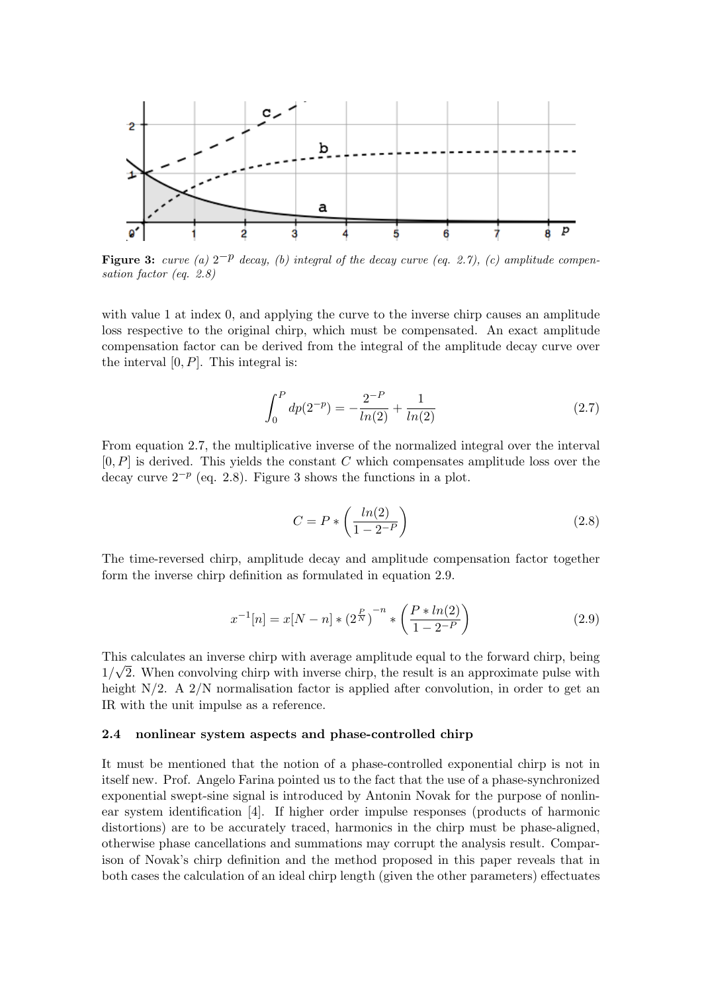

**Figure 3:** curve (a)  $2^{-p}$  decay, (b) integral of the decay curve (eq. 2.7), (c) amplitude compensation factor (eq. 2.8)

with value 1 at index 0, and applying the curve to the inverse chirp causes an amplitude loss respective to the original chirp, which must be compensated. An exact amplitude compensation factor can be derived from the integral of the amplitude decay curve over the interval  $[0, P]$ . This integral is:

$$
\int_0^P dp(2^{-p}) = -\frac{2^{-P}}{\ln(2)} + \frac{1}{\ln(2)}\tag{2.7}
$$

From equation 2.7, the multiplicative inverse of the normalized integral over the interval  $[0, P]$  is derived. This yields the constant C which compensates amplitude loss over the decay curve  $2^{-p}$  (eq. 2.8). Figure 3 shows the functions in a plot.

$$
C = P * \left(\frac{\ln(2)}{1 - 2^{-P}}\right) \tag{2.8}
$$

The time-reversed chirp, amplitude decay and amplitude compensation factor together form the inverse chirp definition as formulated in equation 2.9.

$$
x^{-1}[n] = x[N-n] * (2^{\frac{P}{N}})^{-n} * \left(\frac{P * ln(2)}{1 - 2^{-P}}\right)
$$
\n(2.9)

This calculates an inverse chirp with average amplitude equal to the forward chirp, being  $\sqrt{a}$  $1/\sqrt{2}$ . When convolving chirp with inverse chirp, the result is an approximate pulse with height  $N/2$ . A  $2/N$  normalisation factor is applied after convolution, in order to get an IR with the unit impulse as a reference.

#### 2.4 nonlinear system aspects and phase-controlled chirp

It must be mentioned that the notion of a phase-controlled exponential chirp is not in itself new. Prof. Angelo Farina pointed us to the fact that the use of a phase-synchronized exponential swept-sine signal is introduced by Antonin Novak for the purpose of nonlinear system identification [4]. If higher order impulse responses (products of harmonic distortions) are to be accurately traced, harmonics in the chirp must be phase-aligned, otherwise phase cancellations and summations may corrupt the analysis result. Comparison of Novak's chirp definition and the method proposed in this paper reveals that in both cases the calculation of an ideal chirp length (given the other parameters) effectuates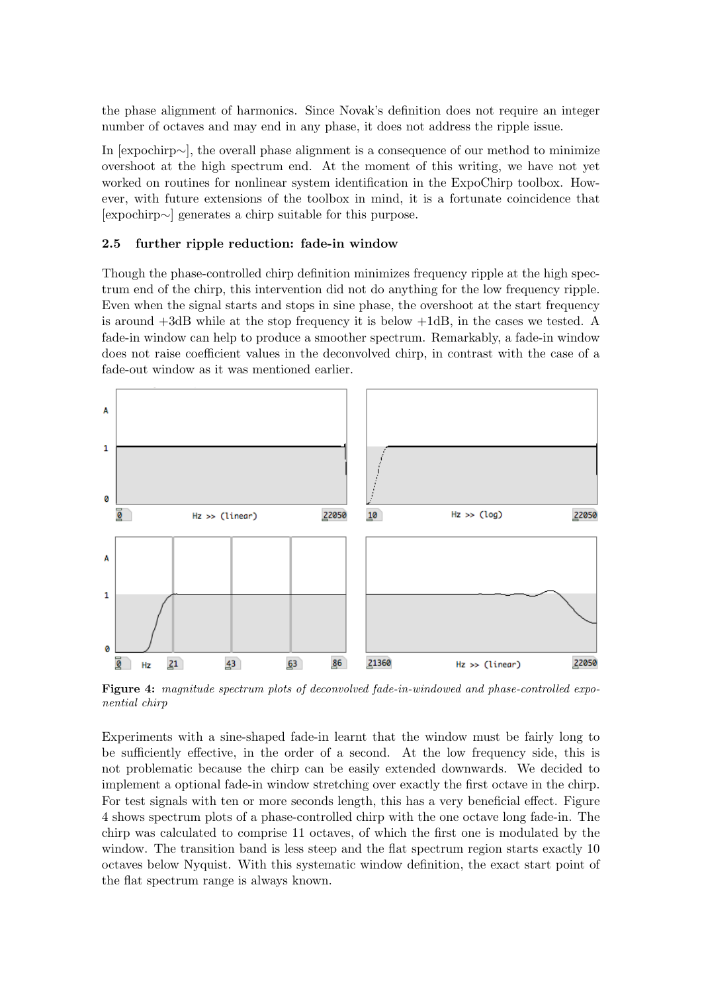the phase alignment of harmonics. Since Novak's definition does not require an integer number of octaves and may end in any phase, it does not address the ripple issue.

In [expochirp∼], the overall phase alignment is a consequence of our method to minimize overshoot at the high spectrum end. At the moment of this writing, we have not yet worked on routines for nonlinear system identification in the ExpoChirp toolbox. However, with future extensions of the toolbox in mind, it is a fortunate coincidence that [expochirp∼] generates a chirp suitable for this purpose.

#### 2.5 further ripple reduction: fade-in window

Though the phase-controlled chirp definition minimizes frequency ripple at the high spectrum end of the chirp, this intervention did not do anything for the low frequency ripple. Even when the signal starts and stops in sine phase, the overshoot at the start frequency is around +3dB while at the stop frequency it is below +1dB, in the cases we tested. A fade-in window can help to produce a smoother spectrum. Remarkably, a fade-in window does not raise coefficient values in the deconvolved chirp, in contrast with the case of a fade-out window as it was mentioned earlier.



Figure 4: magnitude spectrum plots of deconvolved fade-in-windowed and phase-controlled exponential chirp

Experiments with a sine-shaped fade-in learnt that the window must be fairly long to be sufficiently effective, in the order of a second. At the low frequency side, this is not problematic because the chirp can be easily extended downwards. We decided to implement a optional fade-in window stretching over exactly the first octave in the chirp. For test signals with ten or more seconds length, this has a very beneficial effect. Figure 4 shows spectrum plots of a phase-controlled chirp with the one octave long fade-in. The chirp was calculated to comprise 11 octaves, of which the first one is modulated by the window. The transition band is less steep and the flat spectrum region starts exactly 10 octaves below Nyquist. With this systematic window definition, the exact start point of the flat spectrum range is always known.